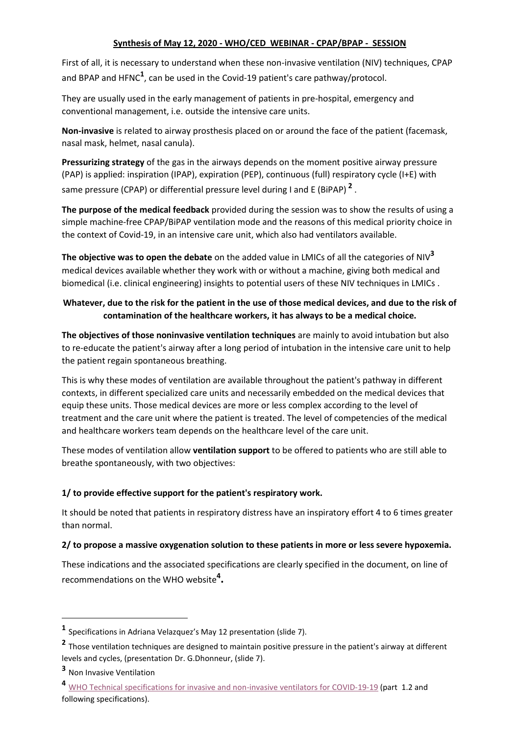# **Synthesis of May 12, 2020 - WHO/CED WEBINAR - CPAP/BPAP - SESSION**

First of all, it is necessary to understand when these non-invasive ventilation (NIV) techniques, CPAP and BPAP and HFNC<sup>1</sup>, can be used in the Covid-19 patient's care pathway/protocol.

They are usually used in the early management of patients in pre-hospital, emergency and conventional management, i.e. outside the intensive care units.

**Non-invasive** is related to airway prosthesis placed on or around the face of the patient (facemask, nasal mask, helmet, nasal canula).

**Pressurizing strategy** of the gas in the airways depends on the moment positive airway pressure (PAP) is applied: inspiration (IPAP), expiration (PEP), continuous (full) respiratory cycle (I+E) with same pressure (CPAP) or differential pressure level during I and E (BiPAP) **<sup>2</sup>** .

**The purpose of the medical feedback** provided during the session was to show the results of using a simple machine-free CPAP/BiPAP ventilation mode and the reasons of this medical priority choice in the context of Covid-19, in an intensive care unit, which also had ventilators available.

**The objective was to open the debate** on the added value in LMICs of all the categories of NIV**<sup>3</sup>** medical devices available whether they work with or without a machine, giving both medical and biomedical (i.e. clinical engineering) insights to potential users of these NIV techniques in LMICs .

# **Whatever, due to the risk for the patient in the use of those medical devices, and due to the risk of contamination of the healthcare workers, it has always to be a medical choice.**

**The objectives of those noninvasive ventilation techniques** are mainly to avoid intubation but also to re-educate the patient's airway after a long period of intubation in the intensive care unit to help the patient regain spontaneous breathing.

This is why these modes of ventilation are available throughout the patient's pathway in different contexts, in different specialized care units and necessarily embedded on the medical devices that equip these units. Those medical devices are more or less complex according to the level of treatment and the care unit where the patient is treated. The level of competencies of the medical and healthcare workers team depends on the healthcare level of the care unit.

These modes of ventilation allow **ventilation support** to be offered to patients who are still able to breathe spontaneously, with two objectives:

# **1/ to provide effective support for the patient's respiratory work.**

It should be noted that patients in respiratory distress have an inspiratory effort 4 to 6 times greater than normal.

# **2/ to propose a massive oxygenation solution to these patients in more or less severe hypoxemia.**

These indications and the associated specifications are clearly specified in the document, on line of recommendations on the WHO website**<sup>4</sup> .**

**<sup>1</sup>** Specifications in Adriana Velazquez's May 12 presentation (slide 7).

**<sup>2</sup>** Those ventilation techniques are designed to maintain positive pressure in the patient's airway at different levels and cycles, (presentation Dr. G.Dhonneur, (slide 7).

**<sup>3</sup>** Non Invasive Ventilation

**<sup>4</sup>** [WHO Technical specifications for invasive and non-invasive ventilators for COVID-19-19](https://apps.who.int/iris/bitstream/handle/10665/331792/WHO-2019-nCoV-Clinical-Ventilator_Specs-2020.1-eng.pdf) (part 1.2 and following specifications).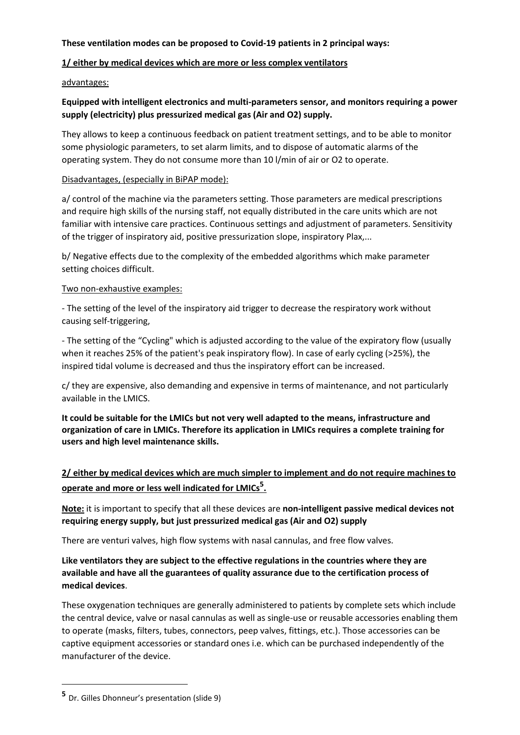# **These ventilation modes can be proposed to Covid-19 patients in 2 principal ways:**

# **1/ either by medical devices which are more or less complex ventilators**

# advantages:

# **Equipped with intelligent electronics and multi-parameters sensor, and monitors requiring a power supply (electricity) plus pressurized medical gas (Air and O2) supply.**

They allows to keep a continuous feedback on patient treatment settings, and to be able to monitor some physiologic parameters, to set alarm limits, and to dispose of automatic alarms of the operating system. They do not consume more than 10 l/min of air or O2 to operate.

# Disadvantages, (especially in BiPAP mode):

a/ control of the machine via the parameters setting. Those parameters are medical prescriptions and require high skills of the nursing staff, not equally distributed in the care units which are not familiar with intensive care practices. Continuous settings and adjustment of parameters. Sensitivity of the trigger of inspiratory aid, positive pressurization slope, inspiratory Plax,...

b/ Negative effects due to the complexity of the embedded algorithms which make parameter setting choices difficult.

# Two non-exhaustive examples:

- The setting of the level of the inspiratory aid trigger to decrease the respiratory work without causing self-triggering,

- The setting of the "Cycling" which is adjusted according to the value of the expiratory flow (usually when it reaches 25% of the patient's peak inspiratory flow). In case of early cycling (>25%), the inspired tidal volume is decreased and thus the inspiratory effort can be increased.

c/ they are expensive, also demanding and expensive in terms of maintenance, and not particularly available in the LMICS.

**It could be suitable for the LMICs but not very well adapted to the means, infrastructure and organization of care in LMICs. Therefore its application in LMICs requires a complete training for users and high level maintenance skills.** 

# **2/ either by medical devices which are much simpler to implement and do not require machines to operate and more or less well indicated for LMICs<sup>5</sup> .**

**Note:** it is important to specify that all these devices are **non-intelligent passive medical devices not requiring energy supply, but just pressurized medical gas (Air and O2) supply**

There are venturi valves, high flow systems with nasal cannulas, and free flow valves.

# **Like ventilators they are subject to the effective regulations in the countries where they are available and have all the guarantees of quality assurance due to the certification process of medical devices**.

These oxygenation techniques are generally administered to patients by complete sets which include the central device, valve or nasal cannulas as well as single-use or reusable accessories enabling them to operate (masks, filters, tubes, connectors, peep valves, fittings, etc.). Those accessories can be captive equipment accessories or standard ones i.e. which can be purchased independently of the manufacturer of the device.

**<sup>5</sup>** Dr. Gilles Dhonneur's presentation (slide 9)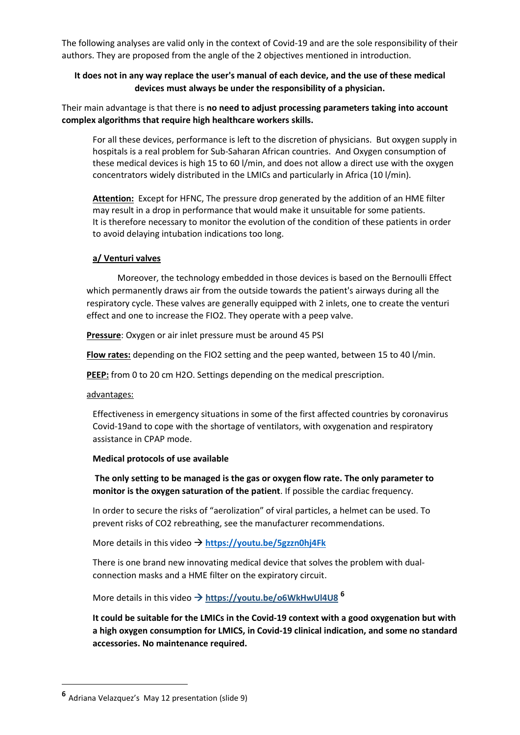The following analyses are valid only in the context of Covid-19 and are the sole responsibility of their authors. They are proposed from the angle of the 2 objectives mentioned in introduction.

# **It does not in any way replace the user's manual of each device, and the use of these medical devices must always be under the responsibility of a physician.**

Their main advantage is that there is **no need to adjust processing parameters taking into account complex algorithms that require high healthcare workers skills.**

For all these devices, performance is left to the discretion of physicians. But oxygen supply in hospitals is a real problem for Sub-Saharan African countries. And Oxygen consumption of these medical devices is high 15 to 60 l/min, and does not allow a direct use with the oxygen concentrators widely distributed in the LMICs and particularly in Africa (10 l/min).

**Attention:** Except for HFNC, The pressure drop generated by the addition of an HME filter may result in a drop in performance that would make it unsuitable for some patients. It is therefore necessary to monitor the evolution of the condition of these patients in order to avoid delaying intubation indications too long.

#### **a/ Venturi valves**

Moreover, the technology embedded in those devices is based on the Bernoulli Effect which permanently draws air from the outside towards the patient's airways during all the respiratory cycle. These valves are generally equipped with 2 inlets, one to create the venturi effect and one to increase the FIO2. They operate with a peep valve.

**Pressure**: Oxygen or air inlet pressure must be around 45 PSI

**Flow rates:** depending on the FIO2 setting and the peep wanted, between 15 to 40 l/min.

**PEEP:** from 0 to 20 cm H2O. Settings depending on the medical prescription.

advantages:

Effectiveness in emergency situations in some of the first affected countries by coronavirus Covid-19and to cope with the shortage of ventilators, with oxygenation and respiratory assistance in CPAP mode.

#### **Medical protocols of use available**

**The only setting to be managed is the gas or oxygen flow rate. The only parameter to monitor is the oxygen saturation of the patient**. If possible the cardiac frequency.

In order to secure the risks of "aerolization" of viral particles, a helmet can be used. To prevent risks of CO2 rebreathing, see the manufacturer recommendations.

More details in this video **<https://youtu.be/5gzzn0hj4Fk>**

There is one brand new innovating medical device that solves the problem with dualconnection masks and a HME filter on the expiratory circuit.

More details in this video **<https://youtu.be/o6WkHwUl4U8> <sup>6</sup>**

**It could be suitable for the LMICs in the Covid-19 context with a good oxygenation but with a high oxygen consumption for LMICS, in Covid-19 clinical indication, and some no standard accessories. No maintenance required.**

**<sup>6</sup>** Adriana Velazquez's May 12 presentation (slide 9)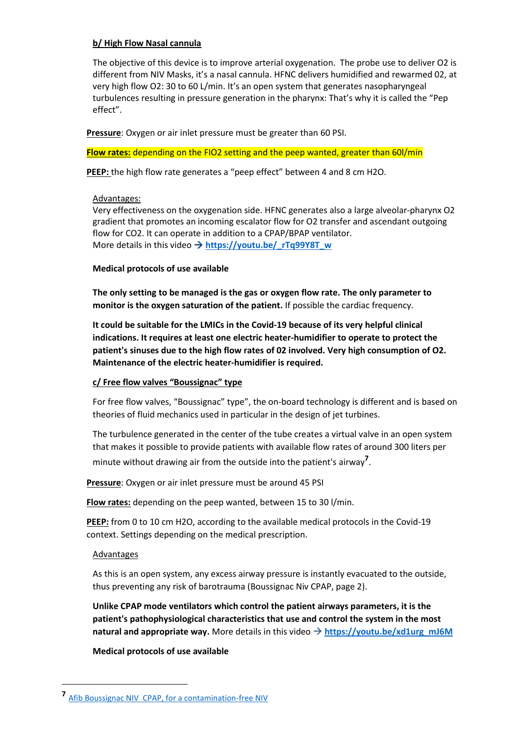#### **b/ High Flow Nasal cannula**

The objective of this device is to improve arterial oxygenation. The probe use to deliver O2 is different from NIV Masks, it's a nasal cannula. HFNC delivers humidified and rewarmed 02, at very high flow O2: 30 to 60 L/min. It's an open system that generates nasopharyngeal turbulences resulting in pressure generation in the pharynx: That's why it is called the "Pep effect".

**Pressure**: Oxygen or air inlet pressure must be greater than 60 PSI.

**Flow rates:** depending on the FIO2 setting and the peep wanted, greater than 60l/min

**PEEP:** the high flow rate generates a "peep effect" between 4 and 8 cm H2O.

#### Advantages:

Very effectiveness on the oxygenation side. HFNC generates also a large alveolar-pharynx O2 gradient that promotes an incoming escalator flow for O2 transfer and ascendant outgoing flow for CO2. It can operate in addition to a CPAP/BPAP ventilator. More details in this video  $\rightarrow$  https://voutu.be/\_rTq99Y8T\_w

#### **Medical protocols of use available**

**The only setting to be managed is the gas or oxygen flow rate. The only parameter to monitor is the oxygen saturation of the patient.** If possible the cardiac frequency.

**It could be suitable for the LMICs in the Covid-19 because of its very helpful clinical indications. It requires at least one electric heater-humidifier to operate to protect the patient's sinuses due to the high flow rates of 02 involved. Very high consumption of O2. Maintenance of the electric heater-humidifier is required.**

# **c/ Free flow valves "Boussignac" type**

For free flow valves, "Boussignac" type", the on-board technology is different and is based on theories of fluid mechanics used in particular in the design of jet turbines.

The turbulence generated in the center of the tube creates a virtual valve in an open system that makes it possible to provide patients with available flow rates of around 300 liters per minute without drawing air from the outside into the patient's airway**<sup>7</sup>** .

**Pressure**: Oxygen or air inlet pressure must be around 45 PSI

**Flow rates:** depending on the peep wanted, between 15 to 30 l/min.

**PEEP:** from 0 to 10 cm H2O, according to the available medical protocols in the Covid-19 context. Settings depending on the medical prescription.

# Advantages

1

As this is an open system, any excess airway pressure is instantly evacuated to the outside, thus preventing any risk of barotrauma (Boussignac Niv CPAP, page 2).

**Unlike CPAP mode ventilators which control the patient airways parameters, it is the patient's pathophysiological characteristics that use and control the system in the most natural and appropriate way.** More details in this video **[https://youtu.be/xd1urg\\_mJ6M](https://youtu.be/xd1urg_mJ6M)**

**Medical protocols of use available**

**<sup>7</sup>** Afib [Boussignac NIV CPAP, for a contamination-free NIV](https://www.afib.asso.fr/images/AFIB/Actualite/Echos_du_biomed/CORONAVIRUS/International_Afib_Circle_-Boussignac_NIV_CPAP_ENG.pdf)